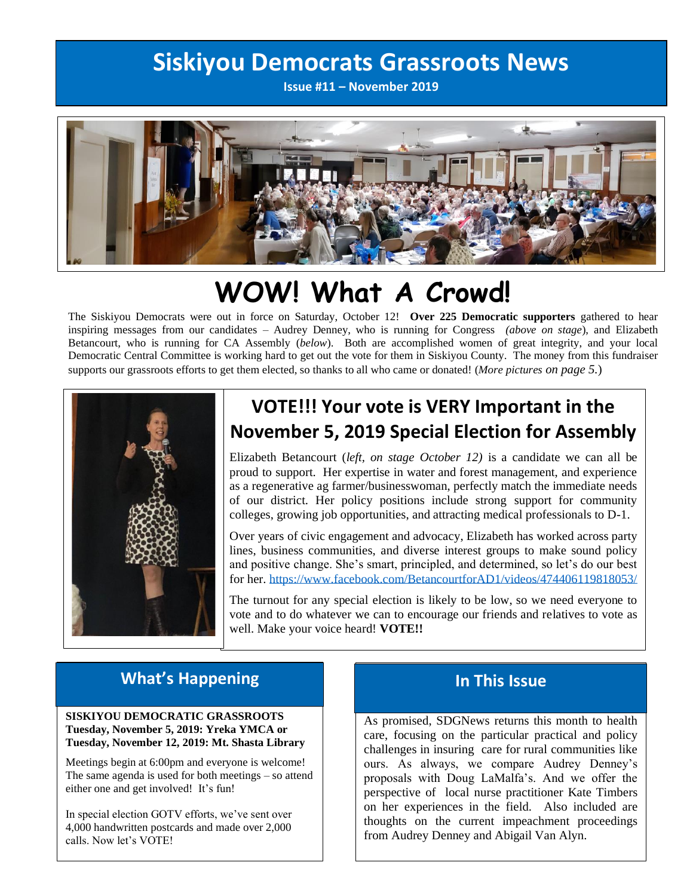## **Siskiyou Democrats Grassroots News**

**Issue #11 – November 2019**



# **WOW! What A Crowd!**

The Siskiyou Democrats were out in force on Saturday, October 12! **Over 225 Democratic supporters** gathered to hear inspiring messages from our candidates – Audrey Denney, who is running for Congress *(above on stage*), and Elizabeth Betancourt, who is running for CA Assembly (*below*). Both are accomplished women of great integrity, and your local Democratic Central Committee is working hard to get out the vote for them in Siskiyou County. The money from this fundraiser supports our grassroots efforts to get them elected, so thanks to all who came or donated! (*More pictures on page 5.*)



### **VOTE!!! Your vote is VERY Important in the November 5, 2019 Special Election for Assembly**

Elizabeth Betancourt (*left, on stage October 12)* is a candidate we can all be proud to support. Her expertise in water and forest management, and experience as a regenerative ag farmer/businesswoman, perfectly match the immediate needs of our district. Her policy positions include strong support for community colleges, growing job opportunities, and attracting medical professionals to D-1.

Over years of civic engagement and advocacy, Elizabeth has worked across party lines, business communities, and diverse interest groups to make sound policy and positive change. She's smart, principled, and determined, so let's do our best for her. <https://www.facebook.com/BetancourtforAD1/videos/474406119818053/>

The turnout for any special election is likely to be low, so we need everyone to vote and to do whatever we can to encourage our friends and relatives to vote as well. Make your voice heard! **VOTE!!**

### **What's Happening**

#### **SISKIYOU DEMOCRATIC GRASSROOTS Tuesday, November 5, 2019: Yreka YMCA or Tuesday, November 12, 2019: Mt. Shasta Library**

Meetings begin at 6:00pm and everyone is welcome! The same agenda is used for both meetings – so attend either one and get involved! It's fun!

In special election GOTV efforts, we've sent over 4,000 handwritten postcards and made over 2,000 calls. Now let's VOTE!

### **In This Issue**

As promised, SDGNews returns this month to health care, focusing on the particular practical and policy challenges in insuring care for rural communities like ours. As always, we compare Audrey Denney's proposals with Doug LaMalfa's. And we offer the perspective of local nurse practitioner Kate Timbers on her experiences in the field. Also included are thoughts on the current impeachment proceedings from Audrey Denney and Abigail Van Alyn.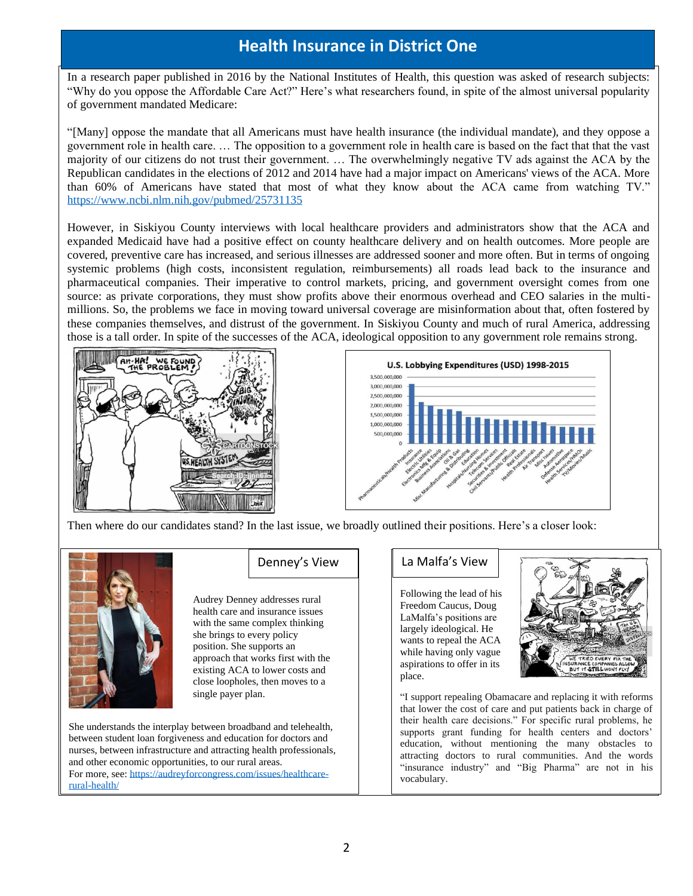### **Health Insurance in District One**

In a research paper published in 2016 by the National Institutes of Health, this question was asked of research subjects: "Why do you oppose the Affordable Care Act?" Here's what researchers found, in spite of the almost universal popularity of government mandated Medicare:

"[Many] oppose the mandate that all Americans must have health insurance (the individual mandate), and they oppose a government role in health care. … The opposition to a government role in health care is based on the fact that that the vast majority of our citizens do not trust their government. … The overwhelmingly negative TV ads against the ACA by the Republican candidates in the elections of 2012 and 2014 have had a major impact on Americans' views of the ACA. More than 60% of Americans have stated that most of what they know about the ACA came from watching TV." <https://www.ncbi.nlm.nih.gov/pubmed/25731135>

However, in Siskiyou County interviews with local healthcare providers and administrators show that the ACA and expanded Medicaid have had a positive effect on county healthcare delivery and on health outcomes. More people are covered, preventive care has increased, and serious illnesses are addressed sooner and more often. But in terms of ongoing systemic problems (high costs, inconsistent regulation, reimbursements) all roads lead back to the insurance and pharmaceutical companies. Their imperative to control markets, pricing, and government oversight comes from one source: as private corporations, they must show profits above their enormous overhead and CEO salaries in the multimillions. So, the problems we face in moving toward universal coverage are misinformation about that, often fostered by these companies themselves, and distrust of the government. In Siskiyou County and much of rural America, addressing those is a tall order. In spite of the successes of the ACA, ideological opposition to any government role remains strong.





Then where do our candidates stand? In the last issue, we broadly outlined their positions. Here's a closer look:



Audrey Denney addresses rural health care and insurance issues with the same complex thinking she brings to every policy position. She supports an approach that works first with the existing ACA to lower costs and close loopholes, then moves to a single payer plan.

She understands the interplay between broadband and telehealth, between student loan forgiveness and education for doctors and nurses, between infrastructure and attracting health professionals, and other economic opportunities, to our rural areas. For more, see: [https://audreyforcongress.com/issues/healthcare](https://audreyforcongress.com/issues/healthcare-rural-health/)[rural-health/](https://audreyforcongress.com/issues/healthcare-rural-health/)

#### Denney's View | | La Malfa's View

Following the lead of his Freedom Caucus, Doug LaMalfa's positions are largely ideological. He wants to repeal the ACA while having only vague aspirations to offer in its place.



"I support repealing Obamacare and replacing it with reforms that lower the cost of care and put patients back in charge of their health care decisions." For specific rural problems, he supports grant funding for health centers and doctors' education, without mentioning the many obstacles to attracting doctors to rural communities. And the words "insurance industry" and "Big Pharma" are not in his vocabulary.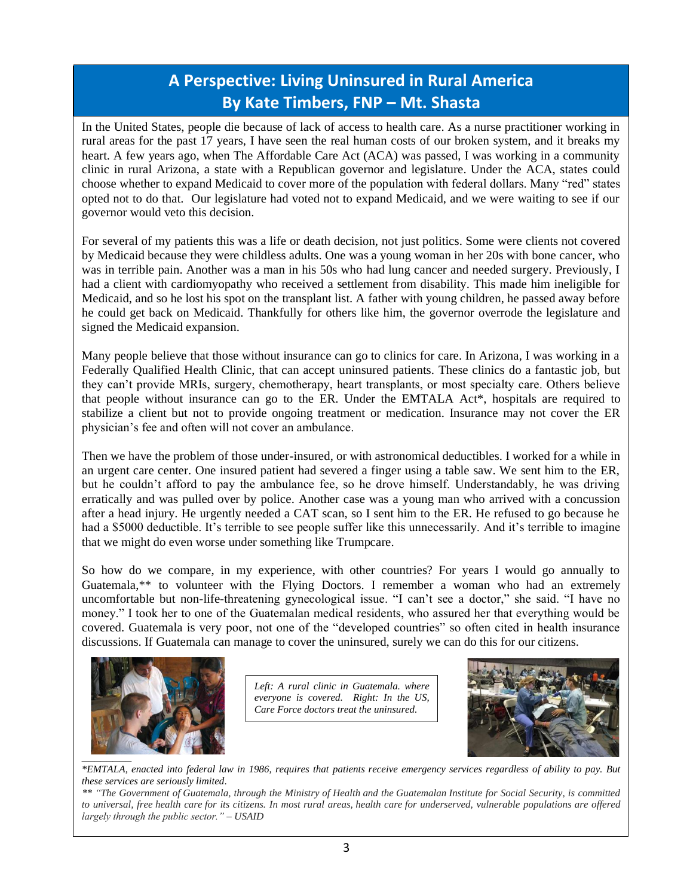### **A Perspective: Living Uninsured in Rural America By Kate Timbers, FNP – Mt. Shasta**

In the United States, people die because of lack of access to health care. As a nurse practitioner working in rural areas for the past 17 years, I have seen the real human costs of our broken system, and it breaks my heart. A few years ago, when The Affordable Care Act (ACA) was passed, I was working in a community clinic in rural Arizona, a state with a Republican governor and legislature. Under the ACA, states could choose whether to expand Medicaid to cover more of the population with federal dollars. Many "red" states opted not to do that. Our legislature had voted not to expand Medicaid, and we were waiting to see if our governor would veto this decision.

For several of my patients this was a life or death decision, not just politics. Some were clients not covered by Medicaid because they were childless adults. One was a young woman in her 20s with bone cancer, who was in terrible pain. Another was a man in his 50s who had lung cancer and needed surgery. Previously, I had a client with cardiomyopathy who received a settlement from disability. This made him ineligible for Medicaid, and so he lost his spot on the transplant list. A father with young children, he passed away before he could get back on Medicaid. Thankfully for others like him, the governor overrode the legislature and signed the Medicaid expansion.

Many people believe that those without insurance can go to clinics for care. In Arizona, I was working in a Federally Qualified Health Clinic, that can accept uninsured patients. These clinics do a fantastic job, but they can't provide MRIs, surgery, chemotherapy, heart transplants, or most specialty care. Others believe that people without insurance can go to the ER. Under the EMTALA Act\*, hospitals are required to stabilize a client but not to provide ongoing treatment or medication. Insurance may not cover the ER physician's fee and often will not cover an ambulance.

Then we have the problem of those under-insured, or with astronomical deductibles. I worked for a while in an urgent care center. One insured patient had severed a finger using a table saw. We sent him to the ER, but he couldn't afford to pay the ambulance fee, so he drove himself. Understandably, he was driving erratically and was pulled over by police. Another case was a young man who arrived with a concussion after a head injury. He urgently needed a CAT scan, so I sent him to the ER. He refused to go because he had a \$5000 deductible. It's terrible to see people suffer like this unnecessarily. And it's terrible to imagine that we might do even worse under something like Trumpcare.

So how do we compare, in my experience, with other countries? For years I would go annually to Guatemala,\*\* to volunteer with the Flying Doctors. I remember a woman who had an extremely uncomfortable but non-life-threatening gynecological issue. "I can't see a doctor," she said. "I have no money." I took her to one of the Guatemalan medical residents, who assured her that everything would be covered. Guatemala is very poor, not one of the "developed countries" so often cited in health insurance discussions. If Guatemala can manage to cover the uninsured, surely we can do this for our citizens.



*Left: A rural clinic in Guatemala. where everyone is covered. Right: In the US, Care Force doctors treat the uninsured.*



*\*EMTALA, enacted into federal law in 1986, requires that patients receive emergency services regardless of ability to pay. But these services are seriously limited*.

*\*\* "The Government of Guatemala, through the Ministry of Health and the Guatemalan Institute for Social Security, is committed to universal, free health care for its citizens. In most rural areas, health care for underserved, vulnerable populations are offered largely through the public sector." – USAID*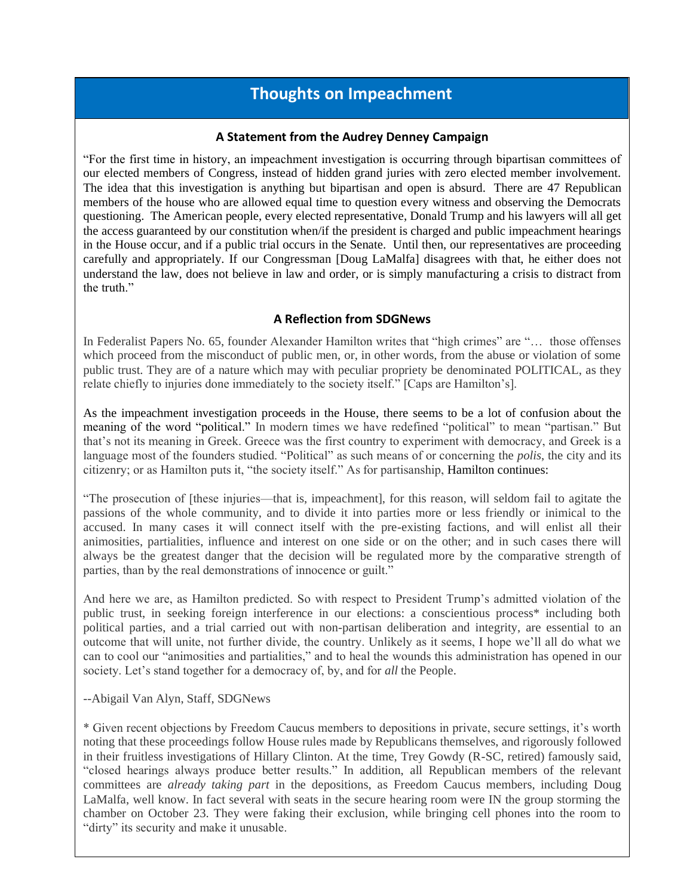### **Thoughts on Impeachment**

#### **A Statement from the Audrey Denney Campaign**

"For the first time in history, an impeachment investigation is occurring through bipartisan committees of our elected members of Congress, instead of hidden grand juries with zero elected member involvement. The idea that this investigation is anything but bipartisan and open is absurd. There are 47 Republican members of the house who are allowed equal time to question every witness and observing the Democrats questioning. The American people, every elected representative, Donald Trump and his lawyers will all get the access guaranteed by our constitution when/if the president is charged and public impeachment hearings in the House occur, and if a public trial occurs in the Senate. Until then, our representatives are proceeding carefully and appropriately. If our Congressman [Doug LaMalfa] disagrees with that, he either does not understand the law, does not believe in law and order, or is simply manufacturing a crisis to distract from the truth."

#### **A Reflection from SDGNews**

In Federalist Papers No. 65, founder Alexander Hamilton writes that "high crimes" are "… those offenses which proceed from the misconduct of public men, or, in other words, from the abuse or violation of some public trust. They are of a nature which may with peculiar propriety be denominated POLITICAL, as they relate chiefly to injuries done immediately to the society itself." [Caps are Hamilton's].

As the impeachment investigation proceeds in the House, there seems to be a lot of confusion about the meaning of the word "political." In modern times we have redefined "political" to mean "partisan." But that's not its meaning in Greek. Greece was the first country to experiment with democracy, and Greek is a language most of the founders studied. "Political" as such means of or concerning the *polis*, the city and its citizenry; or as Hamilton puts it, "the society itself." As for partisanship, Hamilton continues:

"The prosecution of [these injuries—that is, impeachment], for this reason, will seldom fail to agitate the passions of the whole community, and to divide it into parties more or less friendly or inimical to the accused. In many cases it will connect itself with the pre-existing factions, and will enlist all their animosities, partialities, influence and interest on one side or on the other; and in such cases there will always be the greatest danger that the decision will be regulated more by the comparative strength of parties, than by the real demonstrations of innocence or guilt."

And here we are, as Hamilton predicted. So with respect to President Trump's admitted violation of the public trust, in seeking foreign interference in our elections: a conscientious process\* including both political parties, and a trial carried out with non-partisan deliberation and integrity, are essential to an outcome that will unite, not further divide, the country. Unlikely as it seems, I hope we'll all do what we can to cool our "animosities and partialities," and to heal the wounds this administration has opened in our society. Let's stand together for a democracy of, by, and for *all* the People.

#### --Abigail Van Alyn, Staff, SDGNews

\* Given recent objections by Freedom Caucus members to depositions in private, secure settings, it's worth noting that these proceedings follow House rules made by Republicans themselves, and rigorously followed in their fruitless investigations of Hillary Clinton. At the time, Trey Gowdy (R-SC, retired) famously said, "closed hearings always produce better results." In addition, all Republican members of the relevant committees are *already taking part* in the depositions, as Freedom Caucus members, including Doug LaMalfa, well know. In fact several with seats in the secure hearing room were IN the group storming the chamber on October 23. They were faking their exclusion, while bringing cell phones into the room to "dirty" its security and make it unusable.